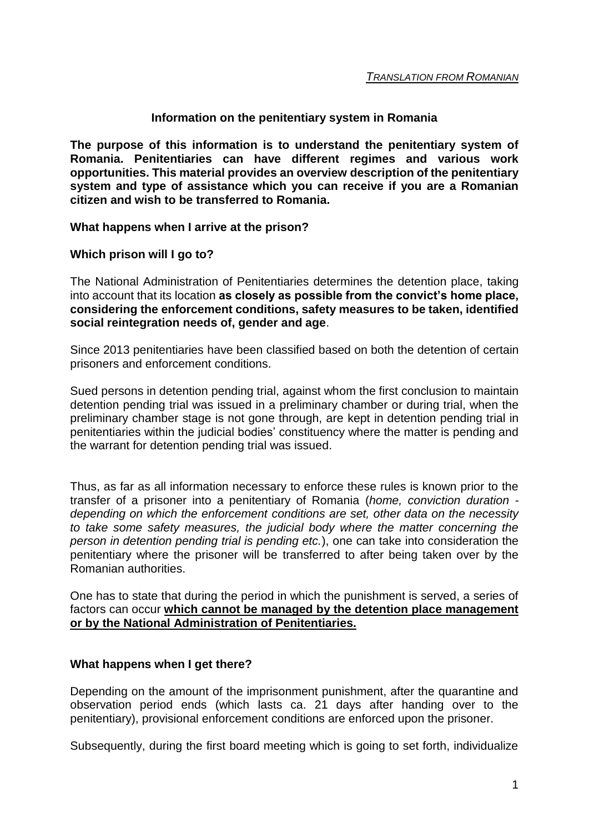### **Information on the penitentiary system in Romania**

**The purpose of this information is to understand the penitentiary system of Romania. Penitentiaries can have different regimes and various work opportunities. This material provides an overview description of the penitentiary system and type of assistance which you can receive if you are a Romanian citizen and wish to be transferred to Romania.**

#### **What happens when I arrive at the prison?**

### **Which prison will I go to?**

The National Administration of Penitentiaries determines the detention place, taking into account that its location **as closely as possible from the convict's home place, considering the enforcement conditions, safety measures to be taken, identified social reintegration needs of, gender and age**.

Since 2013 penitentiaries have been classified based on both the detention of certain prisoners and enforcement conditions.

Sued persons in detention pending trial, against whom the first conclusion to maintain detention pending trial was issued in a preliminary chamber or during trial, when the preliminary chamber stage is not gone through, are kept in detention pending trial in penitentiaries within the judicial bodies' constituency where the matter is pending and the warrant for detention pending trial was issued.

Thus, as far as all information necessary to enforce these rules is known prior to the transfer of a prisoner into a penitentiary of Romania (*home, conviction duration depending on which the enforcement conditions are set, other data on the necessity to take some safety measures, the judicial body where the matter concerning the person in detention pending trial is pending etc.*), one can take into consideration the penitentiary where the prisoner will be transferred to after being taken over by the Romanian authorities.

One has to state that during the period in which the punishment is served, a series of factors can occur **which cannot be managed by the detention place management or by the National Administration of Penitentiaries.**

#### **What happens when I get there?**

Depending on the amount of the imprisonment punishment, after the quarantine and observation period ends (which lasts ca. 21 days after handing over to the penitentiary), provisional enforcement conditions are enforced upon the prisoner.

Subsequently, during the first board meeting which is going to set forth, individualize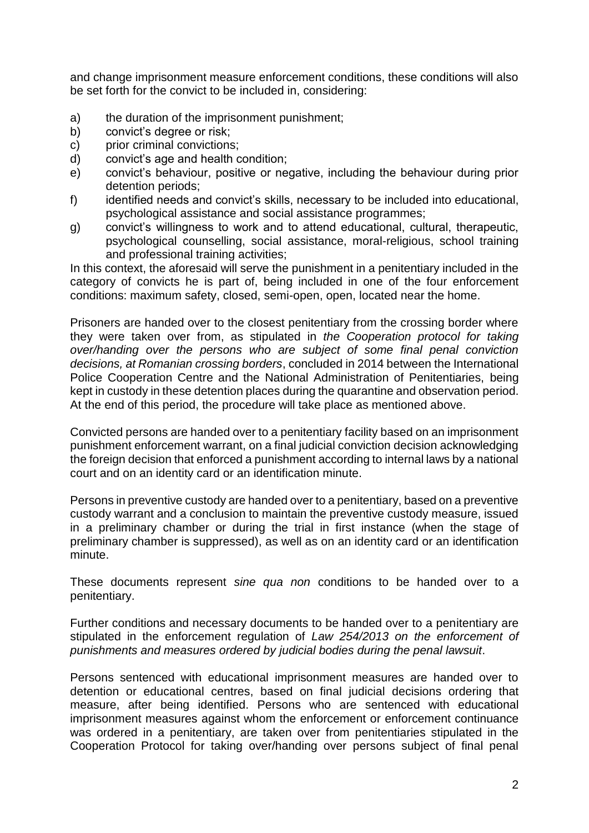and change imprisonment measure enforcement conditions, these conditions will also be set forth for the convict to be included in, considering:

- a) the duration of the imprisonment punishment;
- b) convict's degree or risk;
- c) prior criminal convictions;
- d) convict's age and health condition;
- e) convict's behaviour, positive or negative, including the behaviour during prior detention periods;
- f) identified needs and convict's skills, necessary to be included into educational, psychological assistance and social assistance programmes;
- g) convict's willingness to work and to attend educational, cultural, therapeutic, psychological counselling, social assistance, moral-religious, school training and professional training activities;

In this context, the aforesaid will serve the punishment in a penitentiary included in the category of convicts he is part of, being included in one of the four enforcement conditions: maximum safety, closed, semi-open, open, located near the home.

Prisoners are handed over to the closest penitentiary from the crossing border where they were taken over from, as stipulated in *the Cooperation protocol for taking over/handing over the persons who are subject of some final penal conviction decisions, at Romanian crossing borders*, concluded in 2014 between the International Police Cooperation Centre and the National Administration of Penitentiaries, being kept in custody in these detention places during the quarantine and observation period. At the end of this period, the procedure will take place as mentioned above.

Convicted persons are handed over to a penitentiary facility based on an imprisonment punishment enforcement warrant, on a final judicial conviction decision acknowledging the foreign decision that enforced a punishment according to internal laws by a national court and on an identity card or an identification minute.

Persons in preventive custody are handed over to a penitentiary, based on a preventive custody warrant and a conclusion to maintain the preventive custody measure, issued in a preliminary chamber or during the trial in first instance (when the stage of preliminary chamber is suppressed), as well as on an identity card or an identification minute.

These documents represent *sine qua non* conditions to be handed over to a penitentiary.

Further conditions and necessary documents to be handed over to a penitentiary are stipulated in the enforcement regulation of *Law 254/2013 on the enforcement of punishments and measures ordered by judicial bodies during the penal lawsuit*.

Persons sentenced with educational imprisonment measures are handed over to detention or educational centres, based on final judicial decisions ordering that measure, after being identified. Persons who are sentenced with educational imprisonment measures against whom the enforcement or enforcement continuance was ordered in a penitentiary, are taken over from penitentiaries stipulated in the Cooperation Protocol for taking over/handing over persons subject of final penal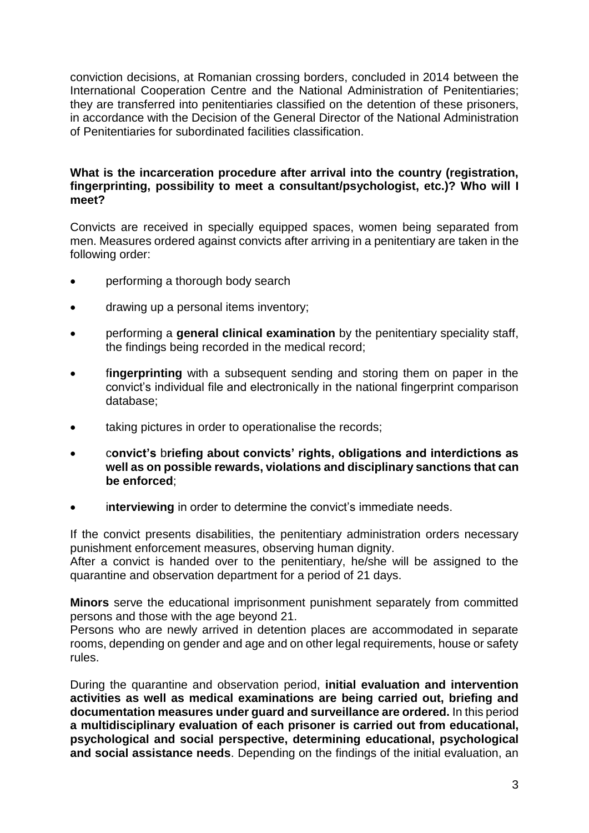conviction decisions, at Romanian crossing borders, concluded in 2014 between the International Cooperation Centre and the National Administration of Penitentiaries; they are transferred into penitentiaries classified on the detention of these prisoners, in accordance with the Decision of the General Director of the National Administration of Penitentiaries for subordinated facilities classification.

### **What is the incarceration procedure after arrival into the country (registration, fingerprinting, possibility to meet a consultant/psychologist, etc.)? Who will I meet?**

Convicts are received in specially equipped spaces, women being separated from men. Measures ordered against convicts after arriving in a penitentiary are taken in the following order:

- performing a thorough body search
- drawing up a personal items inventory;
- performing a **general clinical examination** by the penitentiary speciality staff, the findings being recorded in the medical record;
- **fingerprinting** with a subsequent sending and storing them on paper in the convict's individual file and electronically in the national fingerprint comparison database;
- taking pictures in order to operationalise the records;
- c**onvict's** b**riefing about convicts' rights, obligations and interdictions as well as on possible rewards, violations and disciplinary sanctions that can be enforced**;
- i**nterviewing** in order to determine the convict's immediate needs.

If the convict presents disabilities, the penitentiary administration orders necessary punishment enforcement measures, observing human dignity.

After a convict is handed over to the penitentiary, he/she will be assigned to the quarantine and observation department for a period of 21 days.

**Minors** serve the educational imprisonment punishment separately from committed persons and those with the age beyond 21.

Persons who are newly arrived in detention places are accommodated in separate rooms, depending on gender and age and on other legal requirements, house or safety rules.

During the quarantine and observation period, **initial evaluation and intervention activities as well as medical examinations are being carried out, briefing and documentation measures under guard and surveillance are ordered.** In this period **a multidisciplinary evaluation of each prisoner is carried out from educational, psychological and social perspective, determining educational, psychological and social assistance needs**. Depending on the findings of the initial evaluation, an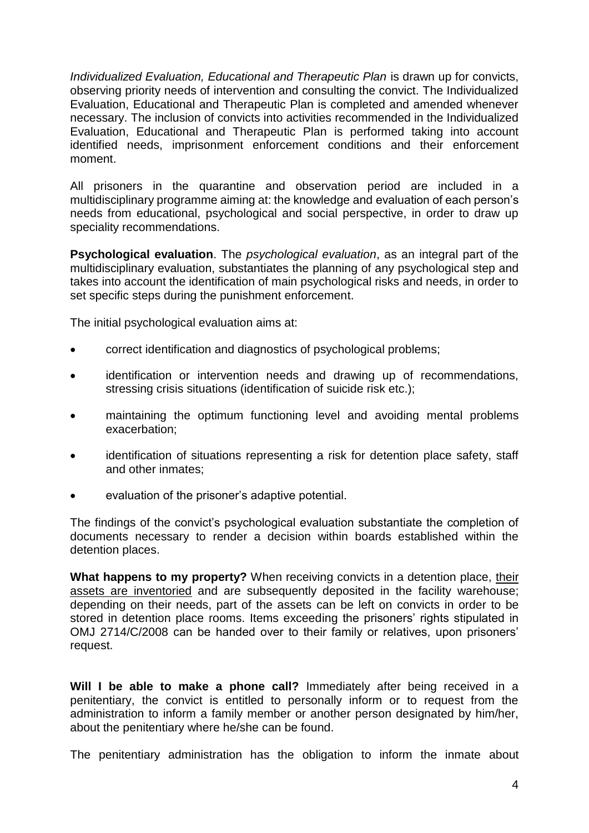*Individualized Evaluation, Educational and Therapeutic Plan* is drawn up for convicts, observing priority needs of intervention and consulting the convict. The Individualized Evaluation, Educational and Therapeutic Plan is completed and amended whenever necessary. The inclusion of convicts into activities recommended in the Individualized Evaluation, Educational and Therapeutic Plan is performed taking into account identified needs, imprisonment enforcement conditions and their enforcement moment.

All prisoners in the quarantine and observation period are included in a multidisciplinary programme aiming at: the knowledge and evaluation of each person's needs from educational, psychological and social perspective, in order to draw up speciality recommendations.

**Psychological evaluation**. The *psychological evaluation*, as an integral part of the multidisciplinary evaluation, substantiates the planning of any psychological step and takes into account the identification of main psychological risks and needs, in order to set specific steps during the punishment enforcement.

The initial psychological evaluation aims at:

- correct identification and diagnostics of psychological problems;
- identification or intervention needs and drawing up of recommendations, stressing crisis situations (identification of suicide risk etc.);
- maintaining the optimum functioning level and avoiding mental problems exacerbation;
- identification of situations representing a risk for detention place safety, staff and other inmates;
- evaluation of the prisoner's adaptive potential.

The findings of the convict's psychological evaluation substantiate the completion of documents necessary to render a decision within boards established within the detention places.

**What happens to my property?** When receiving convicts in a detention place, their assets are inventoried and are subsequently deposited in the facility warehouse; depending on their needs, part of the assets can be left on convicts in order to be stored in detention place rooms. Items exceeding the prisoners' rights stipulated in OMJ 2714/C/2008 can be handed over to their family or relatives, upon prisoners' request.

**Will I be able to make a phone call?** Immediately after being received in a penitentiary, the convict is entitled to personally inform or to request from the administration to inform a family member or another person designated by him/her, about the penitentiary where he/she can be found.

The penitentiary administration has the obligation to inform the inmate about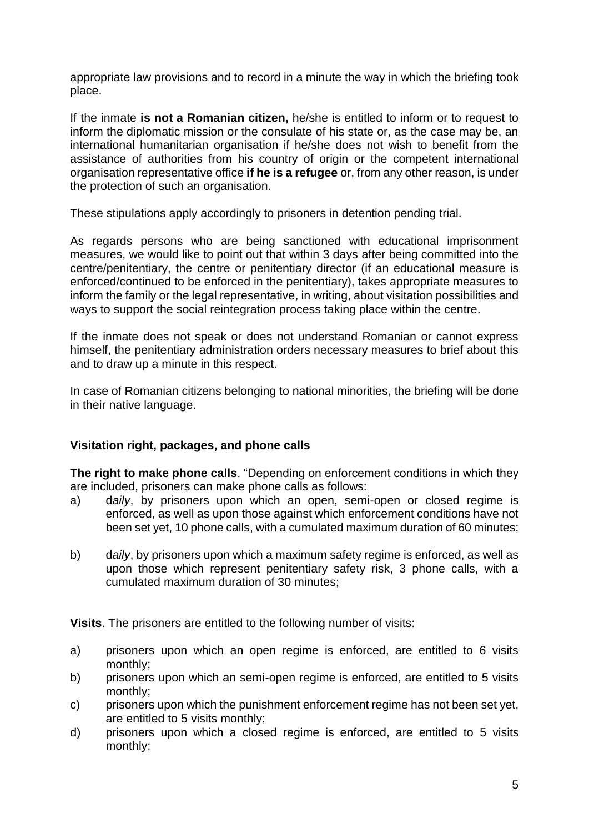appropriate law provisions and to record in a minute the way in which the briefing took place.

If the inmate **is not a Romanian citizen,** he/she is entitled to inform or to request to inform the diplomatic mission or the consulate of his state or, as the case may be, an international humanitarian organisation if he/she does not wish to benefit from the assistance of authorities from his country of origin or the competent international organisation representative office **if he is a refugee** or, from any other reason, is under the protection of such an organisation.

These stipulations apply accordingly to prisoners in detention pending trial.

As regards persons who are being sanctioned with educational imprisonment measures, we would like to point out that within 3 days after being committed into the centre/penitentiary, the centre or penitentiary director (if an educational measure is enforced/continued to be enforced in the penitentiary), takes appropriate measures to inform the family or the legal representative, in writing, about visitation possibilities and ways to support the social reintegration process taking place within the centre.

If the inmate does not speak or does not understand Romanian or cannot express himself, the penitentiary administration orders necessary measures to brief about this and to draw up a minute in this respect.

In case of Romanian citizens belonging to national minorities, the briefing will be done in their native language.

# **Visitation right, packages, and phone calls**

**The right to make phone calls**. "Depending on enforcement conditions in which they are included, prisoners can make phone calls as follows:

- a) d*aily*, by prisoners upon which an open, semi-open or closed regime is enforced, as well as upon those against which enforcement conditions have not been set yet, 10 phone calls, with a cumulated maximum duration of 60 minutes;
- b) d*aily*, by prisoners upon which a maximum safety regime is enforced, as well as upon those which represent penitentiary safety risk, 3 phone calls, with a cumulated maximum duration of 30 minutes;

**Visits**. The prisoners are entitled to the following number of visits:

- a) prisoners upon which an open regime is enforced, are entitled to 6 visits monthly;
- b) prisoners upon which an semi-open regime is enforced, are entitled to 5 visits monthly;
- c) prisoners upon which the punishment enforcement regime has not been set yet, are entitled to 5 visits monthly;
- d) prisoners upon which a closed regime is enforced, are entitled to 5 visits monthly;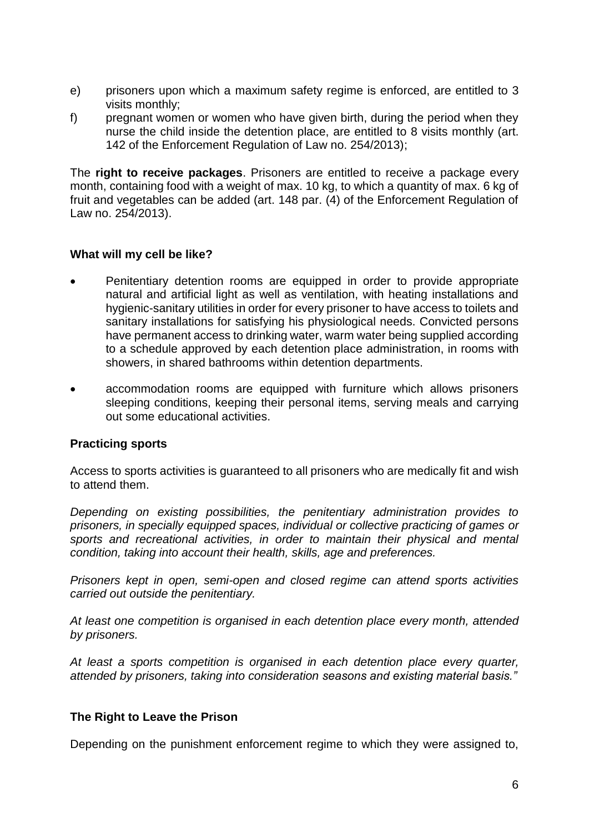- e) prisoners upon which a maximum safety regime is enforced, are entitled to 3 visits monthly;
- f) pregnant women or women who have given birth, during the period when they nurse the child inside the detention place, are entitled to 8 visits monthly (art. 142 of the Enforcement Regulation of Law no. 254/2013);

The **right to receive packages**. Prisoners are entitled to receive a package every month, containing food with a weight of max. 10 kg, to which a quantity of max. 6 kg of fruit and vegetables can be added (art. 148 par. (4) of the Enforcement Regulation of Law no. 254/2013).

## **What will my cell be like?**

- Penitentiary detention rooms are equipped in order to provide appropriate natural and artificial light as well as ventilation, with heating installations and hygienic-sanitary utilities in order for every prisoner to have access to toilets and sanitary installations for satisfying his physiological needs. Convicted persons have permanent access to drinking water, warm water being supplied according to a schedule approved by each detention place administration, in rooms with showers, in shared bathrooms within detention departments.
- accommodation rooms are equipped with furniture which allows prisoners sleeping conditions, keeping their personal items, serving meals and carrying out some educational activities.

### **Practicing sports**

Access to sports activities is guaranteed to all prisoners who are medically fit and wish to attend them.

*Depending on existing possibilities, the penitentiary administration provides to prisoners, in specially equipped spaces, individual or collective practicing of games or sports and recreational activities, in order to maintain their physical and mental condition, taking into account their health, skills, age and preferences.*

*Prisoners kept in open, semi-open and closed regime can attend sports activities carried out outside the penitentiary.*

*At least one competition is organised in each detention place every month, attended by prisoners.*

*At least a sports competition is organised in each detention place every quarter, attended by prisoners, taking into consideration seasons and existing material basis."*

### **The Right to Leave the Prison**

Depending on the punishment enforcement regime to which they were assigned to,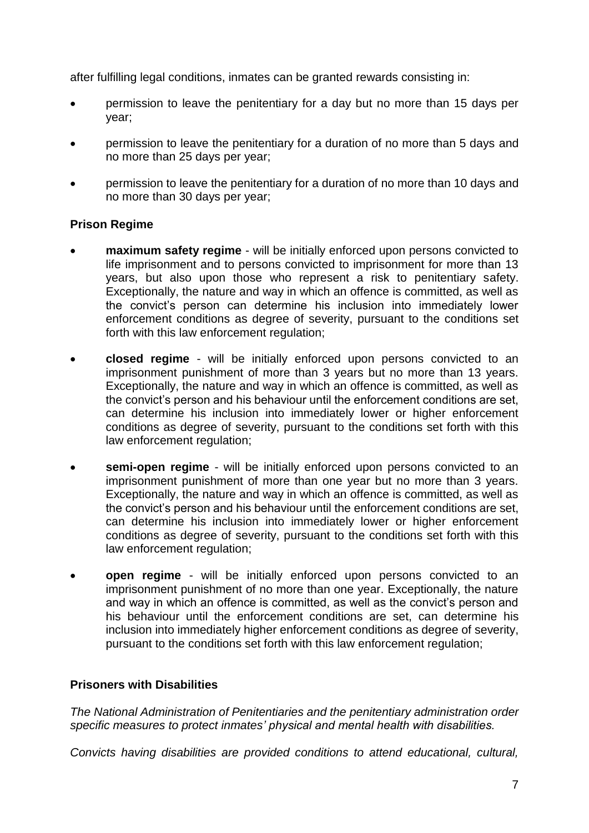after fulfilling legal conditions, inmates can be granted rewards consisting in:

- permission to leave the penitentiary for a day but no more than 15 days per year;
- permission to leave the penitentiary for a duration of no more than 5 days and no more than 25 days per year;
- permission to leave the penitentiary for a duration of no more than 10 days and no more than 30 days per year;

## **Prison Regime**

- **maximum safety regime** will be initially enforced upon persons convicted to life imprisonment and to persons convicted to imprisonment for more than 13 years, but also upon those who represent a risk to penitentiary safety. Exceptionally, the nature and way in which an offence is committed, as well as the convict's person can determine his inclusion into immediately lower enforcement conditions as degree of severity, pursuant to the conditions set forth with this law enforcement regulation;
- **closed regime** will be initially enforced upon persons convicted to an imprisonment punishment of more than 3 years but no more than 13 years. Exceptionally, the nature and way in which an offence is committed, as well as the convict's person and his behaviour until the enforcement conditions are set, can determine his inclusion into immediately lower or higher enforcement conditions as degree of severity, pursuant to the conditions set forth with this law enforcement regulation;
- **semi-open regime** will be initially enforced upon persons convicted to an imprisonment punishment of more than one year but no more than 3 years. Exceptionally, the nature and way in which an offence is committed, as well as the convict's person and his behaviour until the enforcement conditions are set, can determine his inclusion into immediately lower or higher enforcement conditions as degree of severity, pursuant to the conditions set forth with this law enforcement regulation;
- **open regime** will be initially enforced upon persons convicted to an imprisonment punishment of no more than one year. Exceptionally, the nature and way in which an offence is committed, as well as the convict's person and his behaviour until the enforcement conditions are set, can determine his inclusion into immediately higher enforcement conditions as degree of severity, pursuant to the conditions set forth with this law enforcement regulation;

# **Prisoners with Disabilities**

*The National Administration of Penitentiaries and the penitentiary administration order specific measures to protect inmates' physical and mental health with disabilities.*

*Convicts having disabilities are provided conditions to attend educational, cultural,*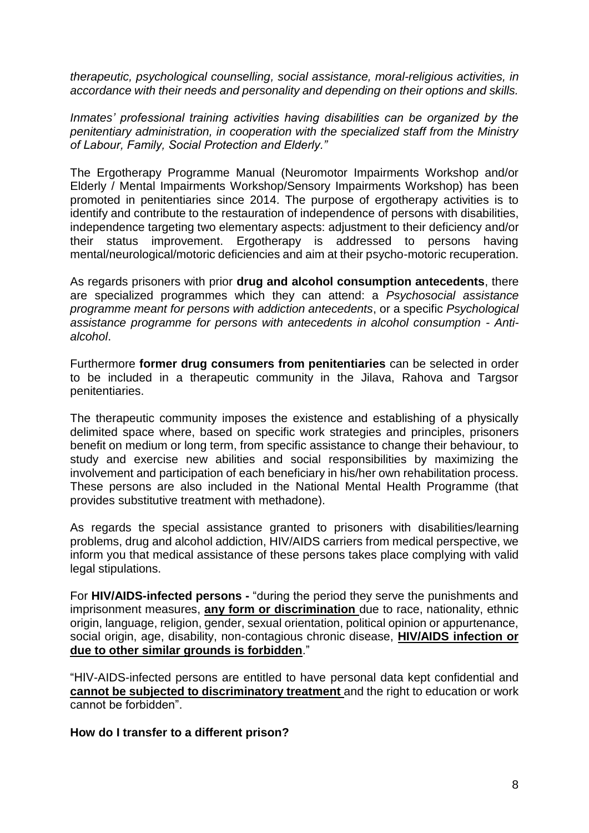*therapeutic, psychological counselling, social assistance, moral-religious activities, in accordance with their needs and personality and depending on their options and skills.*

*Inmates' professional training activities having disabilities can be organized by the penitentiary administration, in cooperation with the specialized staff from the Ministry of Labour, Family, Social Protection and Elderly."*

The Ergotherapy Programme Manual (Neuromotor Impairments Workshop and/or Elderly / Mental Impairments Workshop/Sensory Impairments Workshop) has been promoted in penitentiaries since 2014. The purpose of ergotherapy activities is to identify and contribute to the restauration of independence of persons with disabilities, independence targeting two elementary aspects: adjustment to their deficiency and/or their status improvement. Ergotherapy is addressed to persons having mental/neurological/motoric deficiencies and aim at their psycho-motoric recuperation.

As regards prisoners with prior **drug and alcohol consumption antecedents**, there are specialized programmes which they can attend: a *Psychosocial assistance programme meant for persons with addiction antecedents*, or a specific *Psychological assistance programme for persons with antecedents in alcohol consumption - Antialcohol*.

Furthermore **former drug consumers from penitentiaries** can be selected in order to be included in a therapeutic community in the Jilava, Rahova and Targsor penitentiaries.

The therapeutic community imposes the existence and establishing of a physically delimited space where, based on specific work strategies and principles, prisoners benefit on medium or long term, from specific assistance to change their behaviour, to study and exercise new abilities and social responsibilities by maximizing the involvement and participation of each beneficiary in his/her own rehabilitation process. These persons are also included in the National Mental Health Programme (that provides substitutive treatment with methadone).

As regards the special assistance granted to prisoners with disabilities/learning problems, drug and alcohol addiction, HIV/AIDS carriers from medical perspective, we inform you that medical assistance of these persons takes place complying with valid legal stipulations.

For **HIV/AIDS-infected persons -** "during the period they serve the punishments and imprisonment measures, **any form or discrimination** due to race, nationality, ethnic origin, language, religion, gender, sexual orientation, political opinion or appurtenance, social origin, age, disability, non-contagious chronic disease, **HIV/AIDS infection or due to other similar grounds is forbidden**."

"HIV-AIDS-infected persons are entitled to have personal data kept confidential and **cannot be subjected to discriminatory treatment** and the right to education or work cannot be forbidden".

**How do I transfer to a different prison?**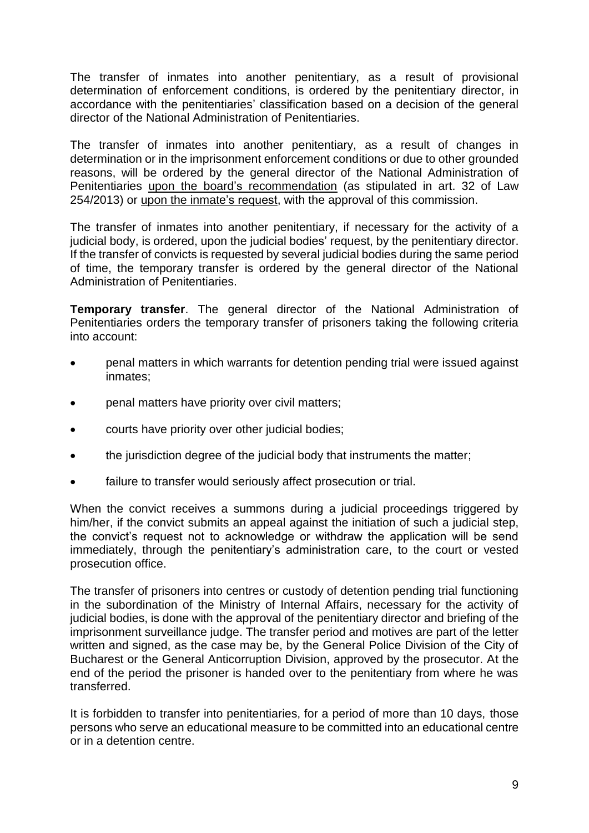The transfer of inmates into another penitentiary, as a result of provisional determination of enforcement conditions, is ordered by the penitentiary director, in accordance with the penitentiaries' classification based on a decision of the general director of the National Administration of Penitentiaries.

The transfer of inmates into another penitentiary, as a result of changes in determination or in the imprisonment enforcement conditions or due to other grounded reasons, will be ordered by the general director of the National Administration of Penitentiaries upon the board's recommendation (as stipulated in art. 32 of Law 254/2013) or upon the inmate's request, with the approval of this commission.

The transfer of inmates into another penitentiary, if necessary for the activity of a judicial body, is ordered, upon the judicial bodies' request, by the penitentiary director. If the transfer of convicts is requested by several judicial bodies during the same period of time, the temporary transfer is ordered by the general director of the National Administration of Penitentiaries.

**Temporary transfer**. The general director of the National Administration of Penitentiaries orders the temporary transfer of prisoners taking the following criteria into account:

- penal matters in which warrants for detention pending trial were issued against inmates;
- penal matters have priority over civil matters;
- courts have priority over other judicial bodies;
- the jurisdiction degree of the judicial body that instruments the matter;
- failure to transfer would seriously affect prosecution or trial.

When the convict receives a summons during a judicial proceedings triggered by him/her, if the convict submits an appeal against the initiation of such a judicial step, the convict's request not to acknowledge or withdraw the application will be send immediately, through the penitentiary's administration care, to the court or vested prosecution office.

The transfer of prisoners into centres or custody of detention pending trial functioning in the subordination of the Ministry of Internal Affairs, necessary for the activity of judicial bodies, is done with the approval of the penitentiary director and briefing of the imprisonment surveillance judge. The transfer period and motives are part of the letter written and signed, as the case may be, by the General Police Division of the City of Bucharest or the General Anticorruption Division, approved by the prosecutor. At the end of the period the prisoner is handed over to the penitentiary from where he was transferred.

It is forbidden to transfer into penitentiaries, for a period of more than 10 days, those persons who serve an educational measure to be committed into an educational centre or in a detention centre.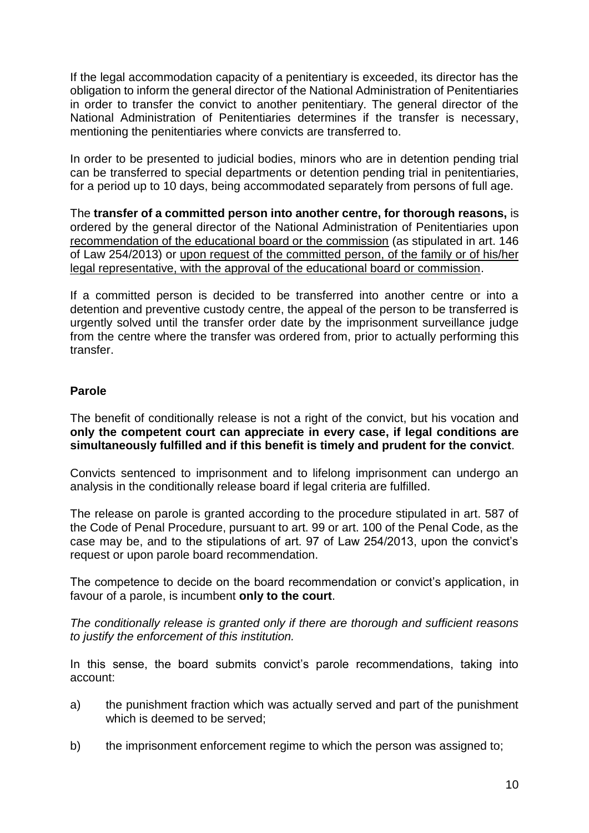If the legal accommodation capacity of a penitentiary is exceeded, its director has the obligation to inform the general director of the National Administration of Penitentiaries in order to transfer the convict to another penitentiary. The general director of the National Administration of Penitentiaries determines if the transfer is necessary, mentioning the penitentiaries where convicts are transferred to.

In order to be presented to judicial bodies, minors who are in detention pending trial can be transferred to special departments or detention pending trial in penitentiaries, for a period up to 10 days, being accommodated separately from persons of full age.

The **transfer of a committed person into another centre, for thorough reasons,** is ordered by the general director of the National Administration of Penitentiaries upon recommendation of the educational board or the commission (as stipulated in art. 146 of Law 254/2013) or upon request of the committed person, of the family or of his/her legal representative, with the approval of the educational board or commission.

If a committed person is decided to be transferred into another centre or into a detention and preventive custody centre, the appeal of the person to be transferred is urgently solved until the transfer order date by the imprisonment surveillance judge from the centre where the transfer was ordered from, prior to actually performing this transfer.

# **Parole**

The benefit of conditionally release is not a right of the convict, but his vocation and **only the competent court can appreciate in every case, if legal conditions are simultaneously fulfilled and if this benefit is timely and prudent for the convict**.

Convicts sentenced to imprisonment and to lifelong imprisonment can undergo an analysis in the conditionally release board if legal criteria are fulfilled.

The release on parole is granted according to the procedure stipulated in art. 587 of the Code of Penal Procedure, pursuant to art. 99 or art. 100 of the Penal Code, as the case may be, and to the stipulations of art. 97 of Law 254/2013, upon the convict's request or upon parole board recommendation.

The competence to decide on the board recommendation or convict's application, in favour of a parole, is incumbent **only to the court**.

*The conditionally release is granted only if there are thorough and sufficient reasons to justify the enforcement of this institution.*

In this sense, the board submits convict's parole recommendations, taking into account:

- a) the punishment fraction which was actually served and part of the punishment which is deemed to be served;
- b) the imprisonment enforcement regime to which the person was assigned to;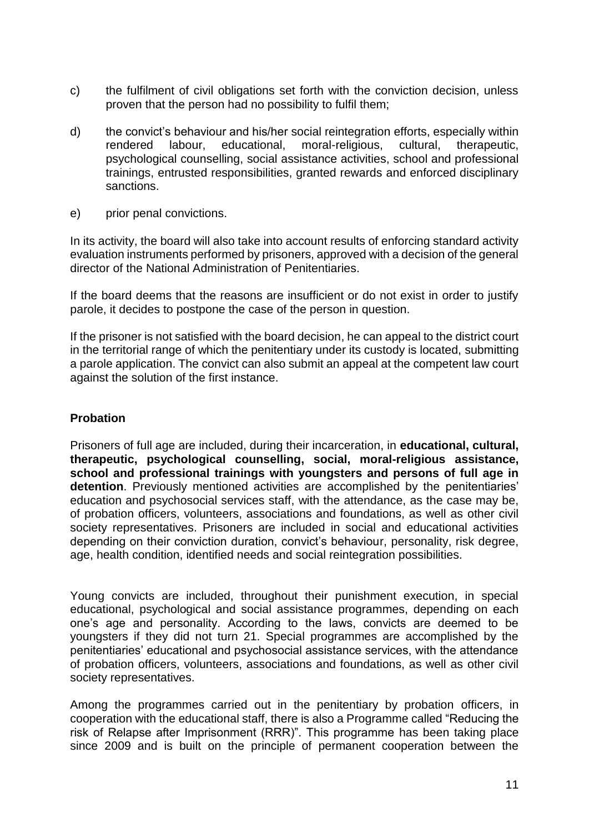- c) the fulfilment of civil obligations set forth with the conviction decision, unless proven that the person had no possibility to fulfil them;
- d) the convict's behaviour and his/her social reintegration efforts, especially within rendered labour, educational, moral-religious, cultural, therapeutic, psychological counselling, social assistance activities, school and professional trainings, entrusted responsibilities, granted rewards and enforced disciplinary sanctions.
- e) prior penal convictions.

In its activity, the board will also take into account results of enforcing standard activity evaluation instruments performed by prisoners, approved with a decision of the general director of the National Administration of Penitentiaries.

If the board deems that the reasons are insufficient or do not exist in order to justify parole, it decides to postpone the case of the person in question.

If the prisoner is not satisfied with the board decision, he can appeal to the district court in the territorial range of which the penitentiary under its custody is located, submitting a parole application. The convict can also submit an appeal at the competent law court against the solution of the first instance.

# **Probation**

Prisoners of full age are included, during their incarceration, in **educational, cultural, therapeutic, psychological counselling, social, moral-religious assistance, school and professional trainings with youngsters and persons of full age in detention**. Previously mentioned activities are accomplished by the penitentiaries' education and psychosocial services staff, with the attendance, as the case may be, of probation officers, volunteers, associations and foundations, as well as other civil society representatives. Prisoners are included in social and educational activities depending on their conviction duration, convict's behaviour, personality, risk degree, age, health condition, identified needs and social reintegration possibilities.

Young convicts are included, throughout their punishment execution, in special educational, psychological and social assistance programmes, depending on each one's age and personality. According to the laws, convicts are deemed to be youngsters if they did not turn 21. Special programmes are accomplished by the penitentiaries' educational and psychosocial assistance services, with the attendance of probation officers, volunteers, associations and foundations, as well as other civil society representatives.

Among the programmes carried out in the penitentiary by probation officers, in cooperation with the educational staff, there is also a Programme called "Reducing the risk of Relapse after Imprisonment (RRR)". This programme has been taking place since 2009 and is built on the principle of permanent cooperation between the